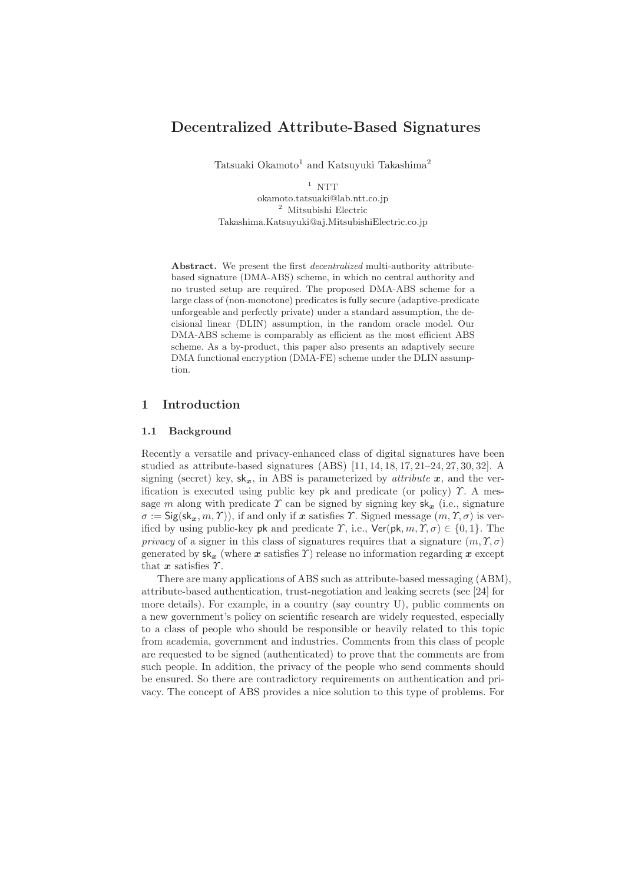# **Decentralized Attribute-Based Signatures**

Tatsuaki Okamoto<sup>1</sup> and Katsuyuki Takashima<sup>2</sup>

 $1$  NTT

okamoto.tatsuaki@lab.ntt.co.jp <sup>2</sup> Mitsubishi Electric Takashima.Katsuyuki@aj.MitsubishiElectric.co.jp

**Abstract.** We present the first *decentralized* multi-authority attributebased signature (DMA-ABS) scheme, in which no central authority and no trusted setup are required. The proposed DMA-ABS scheme for a large class of (non-monotone) predicates is fully secure (adaptive-predicate unforgeable and perfectly private) under a standard assumption, the decisional linear (DLIN) assumption, in the random oracle model. Our DMA-ABS scheme is comparably as efficient as the most efficient ABS scheme. As a by-product, this paper also presents an adaptively secure DMA functional encryption (DMA-FE) scheme under the DLIN assumption.

## **1 Introduction**

### **1.1 Background**

Recently a versatile and privacy-enhanced class of digital signatures have been studied as attribute-based signatures (ABS) [11, 14, 18, 17, 21–24, 27, 30, 32]. A signing (secret) key,  $sk_x$ , in ABS is parameterized by *attribute*  $x$ , and the verification is executed using public key pk and predicate (or policy)  $\Upsilon$ . A message m along with predicate  $\Upsilon$  can be signed by signing key  $sk_x$  (i.e., signature  $\sigma := \mathsf{Sig}(\mathsf{sk}_x, m, \mathcal{T})$ , if and only if x satisfies Y. Signed message  $(m, \mathcal{T}, \sigma)$  is verified by using public-key pk and predicate  $\Upsilon$ , i.e.,  $\text{Ver}(pk, m, \Upsilon, \sigma) \in \{0, 1\}$ . The *privacy* of a signer in this class of signatures requires that a signature  $(m, \Upsilon, \sigma)$ generated by  $sk_x$  (where x satisfies Y) release no information regarding x except that *x* satisfies <sup>Υ</sup>.

There are many applications of ABS such as attribute-based messaging (ABM), attribute-based authentication, trust-negotiation and leaking secrets (see [24] for more details). For example, in a country (say country U), public comments on a new government's policy on scientific research are widely requested, especially to a class of people who should be responsible or heavily related to this topic from academia, government and industries. Comments from this class of people are requested to be signed (authenticated) to prove that the comments are from such people. In addition, the privacy of the people who send comments should be ensured. So there are contradictory requirements on authentication and privacy. The concept of ABS provides a nice solution to this type of problems. For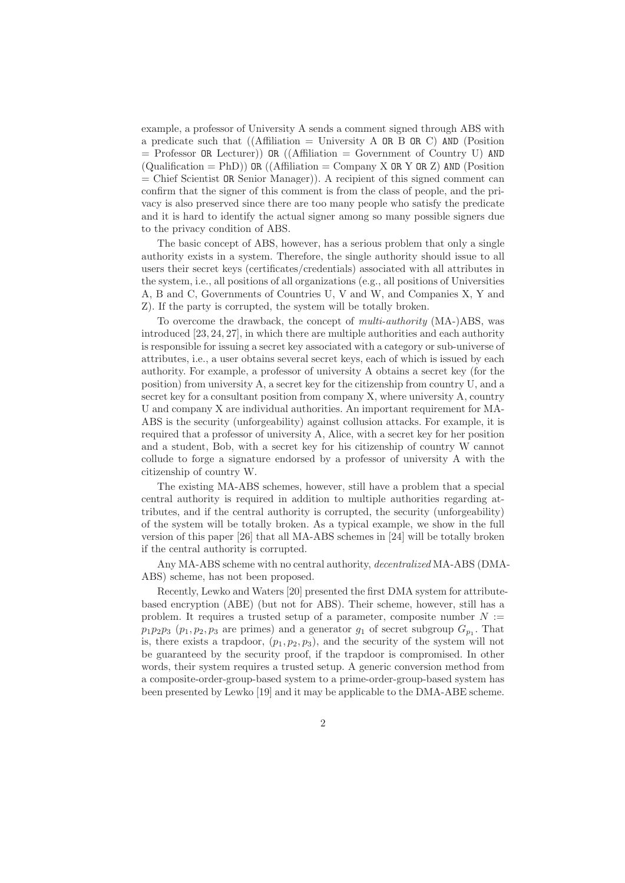example, a professor of University A sends a comment signed through ABS with a predicate such that  $((Affilation = University A \text{ OR } B \text{ OR } C)$  AND  $(Position$  $=$  Professor OR Lecturer)) OR ((Affiliation  $=$  Government of Country U) AND  $(Qualification = PhD)$ ) OR  $((Affilation = Company X OR Y OR Z)$  AND  $(Position$ = Chief Scientist OR Senior Manager)). A recipient of this signed comment can confirm that the signer of this comment is from the class of people, and the privacy is also preserved since there are too many people who satisfy the predicate and it is hard to identify the actual signer among so many possible signers due to the privacy condition of ABS.

The basic concept of ABS, however, has a serious problem that only a single authority exists in a system. Therefore, the single authority should issue to all users their secret keys (certificates/credentials) associated with all attributes in the system, i.e., all positions of all organizations (e.g., all positions of Universities A, B and C, Governments of Countries U, V and W, and Companies X, Y and Z). If the party is corrupted, the system will be totally broken.

To overcome the drawback, the concept of *multi-authority* (MA-)ABS, was introduced [23, 24, 27], in which there are multiple authorities and each authority is responsible for issuing a secret key associated with a category or sub-universe of attributes, i.e., a user obtains several secret keys, each of which is issued by each authority. For example, a professor of university A obtains a secret key (for the position) from university A, a secret key for the citizenship from country U, and a secret key for a consultant position from company X, where university A, country U and company X are individual authorities. An important requirement for MA-ABS is the security (unforgeability) against collusion attacks. For example, it is required that a professor of university A, Alice, with a secret key for her position and a student, Bob, with a secret key for his citizenship of country W cannot collude to forge a signature endorsed by a professor of university A with the citizenship of country W.

The existing MA-ABS schemes, however, still have a problem that a special central authority is required in addition to multiple authorities regarding attributes, and if the central authority is corrupted, the security (unforgeability) of the system will be totally broken. As a typical example, we show in the full version of this paper [26] that all MA-ABS schemes in [24] will be totally broken if the central authority is corrupted.

Any MA-ABS scheme with no central authority, *decentralized* MA-ABS (DMA-ABS) scheme, has not been proposed.

Recently, Lewko and Waters [20] presented the first DMA system for attributebased encryption (ABE) (but not for ABS). Their scheme, however, still has a problem. It requires a trusted setup of a parameter, composite number  $N :=$  $p_1p_2p_3$   $(p_1, p_2, p_3$  are primes) and a generator  $g_1$  of secret subgroup  $G_{p_1}$ . That is, there exists a trapdoor,  $(p_1, p_2, p_3)$ , and the security of the system will not be guaranteed by the security proof, if the trapdoor is compromised. In other words, their system requires a trusted setup. A generic conversion method from a composite-order-group-based system to a prime-order-group-based system has been presented by Lewko [19] and it may be applicable to the DMA-ABE scheme.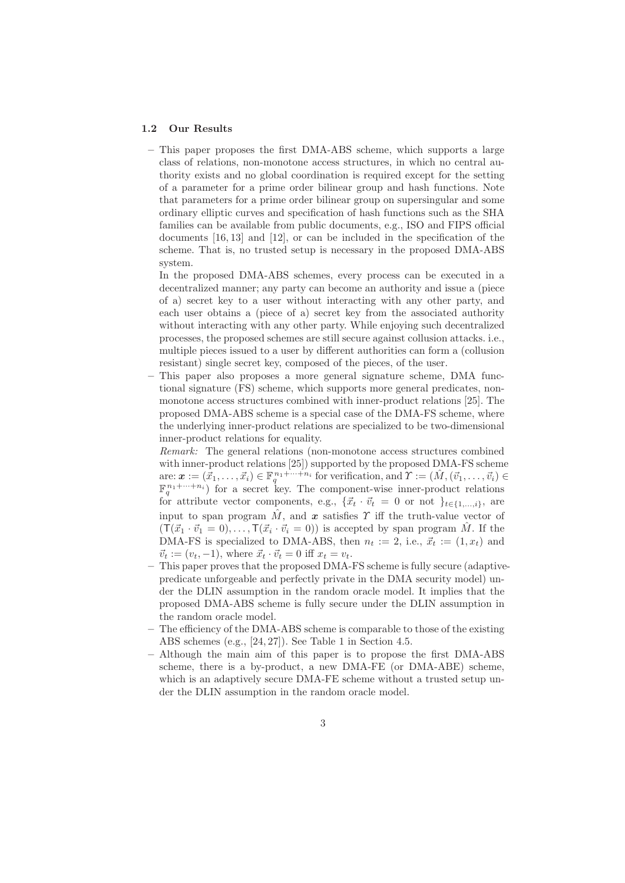#### **1.2 Our Results**

**–** This paper proposes the first DMA-ABS scheme, which supports a large class of relations, non-monotone access structures, in which no central authority exists and no global coordination is required except for the setting of a parameter for a prime order bilinear group and hash functions. Note that parameters for a prime order bilinear group on supersingular and some ordinary elliptic curves and specification of hash functions such as the SHA families can be available from public documents, e.g., ISO and FIPS official documents [16, 13] and [12], or can be included in the specification of the scheme. That is, no trusted setup is necessary in the proposed DMA-ABS system.

In the proposed DMA-ABS schemes, every process can be executed in a decentralized manner; any party can become an authority and issue a (piece of a) secret key to a user without interacting with any other party, and each user obtains a (piece of a) secret key from the associated authority without interacting with any other party. While enjoying such decentralized processes, the proposed schemes are still secure against collusion attacks. i.e., multiple pieces issued to a user by different authorities can form a (collusion resistant) single secret key, composed of the pieces, of the user.

**–** This paper also proposes a more general signature scheme, DMA functional signature (FS) scheme, which supports more general predicates, nonmonotone access structures combined with inner-product relations [25]. The proposed DMA-ABS scheme is a special case of the DMA-FS scheme, where the underlying inner-product relations are specialized to be two-dimensional inner-product relations for equality.

*Remark:* The general relations (non-monotone access structures combined with inner-product relations [25]) supported by the proposed DMA-FS scheme are:  $\boldsymbol{x} := (\vec{x}_1, \ldots, \vec{x}_i) \in \mathbb{F}_q^{n_1 + \cdots + n_i}$  for verification, and  $\Upsilon := (\hat{M}, (\vec{v}_1, \ldots, \vec{v}_i) \in \mathbb{F}_q^{n_1 + \cdots + n_i})$  for a secret level. The component-wise inner-product relations  $\mathbb{F}_q^{n_1+\cdots+n_i}$  for a secret key. The component-wise inner-product relations for attribute vector components, e.g.,  $\{\vec{x}_t \cdot \vec{v}_t = 0 \text{ or not } \}_{t \in \{1,\ldots,i\}}$ , are input to span program  $\hat{M}$ , and  $\hat{x}$  satisfies  $\hat{T}$  iff the truth-value vector of  $(T(\vec{x}_1 \cdot \vec{v}_1 = 0), \ldots, T(\vec{x}_i \cdot \vec{v}_i = 0))$  is accepted by span program  $\hat{M}$ . If the DMA-FS is specialized to DMA-ABS, then  $n_t := 2$ , i.e.,  $\vec{x}_t := (1, x_t)$  and  $\vec{v}_t := (v_t, -1)$ , where  $\vec{x}_t \cdot \vec{v}_t = 0$  iff  $x_t = v_t$ .

- **–** This paper proves that the proposed DMA-FS scheme is fully secure (adaptivepredicate unforgeable and perfectly private in the DMA security model) under the DLIN assumption in the random oracle model. It implies that the proposed DMA-ABS scheme is fully secure under the DLIN assumption in the random oracle model.
- **–** The efficiency of the DMA-ABS scheme is comparable to those of the existing ABS schemes (e.g., [24, 27]). See Table 1 in Section 4.5.
- **–** Although the main aim of this paper is to propose the first DMA-ABS scheme, there is a by-product, a new DMA-FE (or DMA-ABE) scheme, which is an adaptively secure DMA-FE scheme without a trusted setup under the DLIN assumption in the random oracle model.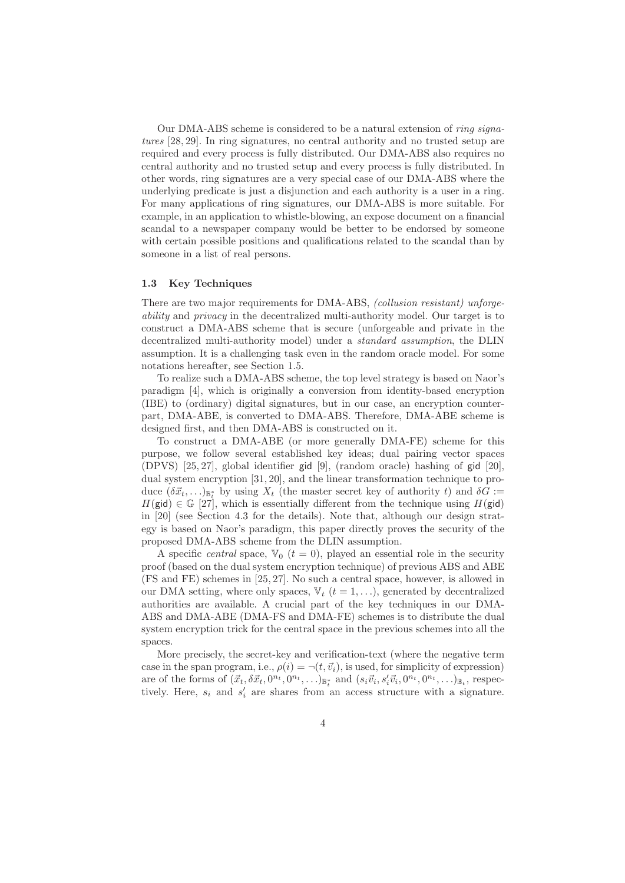Our DMA-ABS scheme is considered to be a natural extension of *ring signatures* [28, 29]. In ring signatures, no central authority and no trusted setup are required and every process is fully distributed. Our DMA-ABS also requires no central authority and no trusted setup and every process is fully distributed. In other words, ring signatures are a very special case of our DMA-ABS where the underlying predicate is just a disjunction and each authority is a user in a ring. For many applications of ring signatures, our DMA-ABS is more suitable. For example, in an application to whistle-blowing, an expose document on a financial scandal to a newspaper company would be better to be endorsed by someone with certain possible positions and qualifications related to the scandal than by someone in a list of real persons.

### **1.3 Key Techniques**

There are two major requirements for DMA-ABS, *(collusion resistant) unforgeability* and *privacy* in the decentralized multi-authority model. Our target is to construct a DMA-ABS scheme that is secure (unforgeable and private in the decentralized multi-authority model) under a *standard assumption*, the DLIN assumption. It is a challenging task even in the random oracle model. For some notations hereafter, see Section 1.5.

To realize such a DMA-ABS scheme, the top level strategy is based on Naor's paradigm [4], which is originally a conversion from identity-based encryption (IBE) to (ordinary) digital signatures, but in our case, an encryption counterpart, DMA-ABE, is converted to DMA-ABS. Therefore, DMA-ABE scheme is designed first, and then DMA-ABS is constructed on it.

To construct a DMA-ABE (or more generally DMA-FE) scheme for this purpose, we follow several established key ideas; dual pairing vector spaces (DPVS) [25, 27], global identifier gid [9], (random oracle) hashing of gid [20], dual system encryption [31, 20], and the linear transformation technique to produce  $(\delta \vec{x}_t, \ldots)_{\mathbb{B}^*_{t}}$  by using  $X_t$  (the master secret key of authority t) and  $\delta G :=$  $H(\text{gid}) \in \mathbb{G}$  [27], which is essentially different from the technique using  $H(\text{gid})$ in [20] (see Section 4.3 for the details). Note that, although our design strategy is based on Naor's paradigm, this paper directly proves the security of the proposed DMA-ABS scheme from the DLIN assumption.

A specific *central* space,  $\mathbb{V}_0$  ( $t = 0$ ), played an essential role in the security proof (based on the dual system encryption technique) of previous ABS and ABE (FS and FE) schemes in [25, 27]. No such a central space, however, is allowed in our DMA setting, where only spaces,  $\mathbb{V}_t$  ( $t = 1, \ldots$ ), generated by decentralized authorities are available. A crucial part of the key techniques in our DMA-ABS and DMA-ABE (DMA-FS and DMA-FE) schemes is to distribute the dual system encryption trick for the central space in the previous schemes into all the spaces.

More precisely, the secret-key and verification-text (where the negative term case in the span program, i.e.,  $\rho(i) = \neg(t, \vec{v}_i)$ , is used, for simplicity of expression) are of the forms of  $(\vec{x}_t, \delta \vec{x}_t, 0^{n_t}, 0^{n_t}, \ldots)_{\mathbb{B}^*_t}$  and  $(s_i \vec{v}_i, s'_i \vec{v}_i, 0^{n_t}, 0^{n_t}, \ldots)_{\mathbb{B}_t}$ , respectively. Here,  $s_i$  and  $s'_i$  are shares from an access structure with a signature.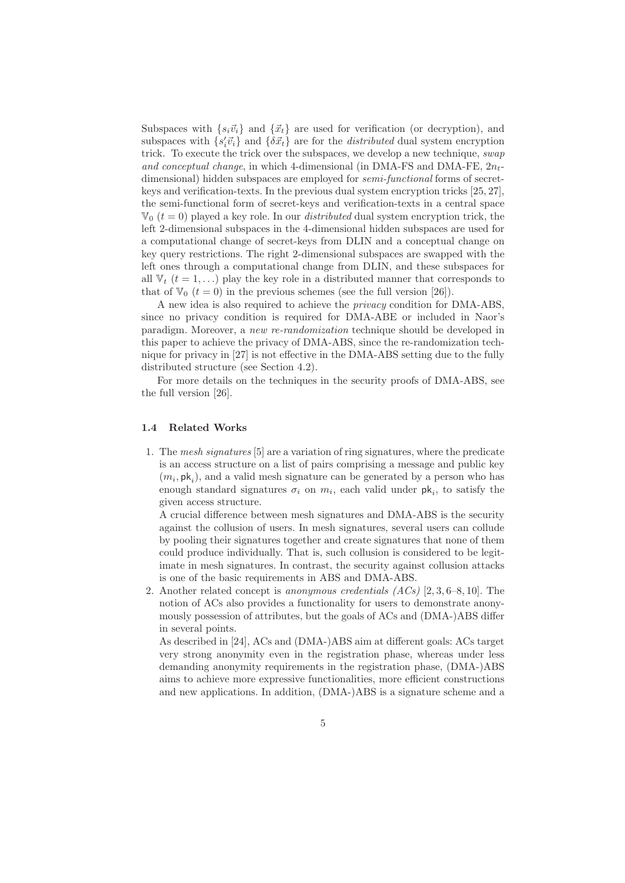Subspaces with  $\{s_i\vec{v}_i\}$  and  $\{\vec{x}_t\}$  are used for verification (or decryption), and subspaces with  $\{s'_i\vec{v}_i\}$  and  $\{\delta \vec{x}_t\}$  are for the *distributed* dual system encryption trick. To execute the trick over the subspaces, we develop a new technique, *swap* and conceptual change, in which 4-dimensional (in DMA-FS and DMA-FE,  $2n_t$ dimensional) hidden subspaces are employed for *semi-functional* forms of secretkeys and verification-texts. In the previous dual system encryption tricks [25, 27], the semi-functional form of secret-keys and verification-texts in a central space  $\mathbb{V}_0$  ( $t = 0$ ) played a key role. In our *distributed* dual system encryption trick, the left 2-dimensional subspaces in the 4-dimensional hidden subspaces are used for a computational change of secret-keys from DLIN and a conceptual change on key query restrictions. The right 2-dimensional subspaces are swapped with the left ones through a computational change from DLIN, and these subspaces for all  $\mathbb{V}_t$   $(t = 1, \ldots)$  play the key role in a distributed manner that corresponds to that of  $\mathbb{V}_0$   $(t = 0)$  in the previous schemes (see the full version [26]).

A new idea is also required to achieve the *privacy* condition for DMA-ABS, since no privacy condition is required for DMA-ABE or included in Naor's paradigm. Moreover, a *new re-randomization* technique should be developed in this paper to achieve the privacy of DMA-ABS, since the re-randomization technique for privacy in [27] is not effective in the DMA-ABS setting due to the fully distributed structure (see Section 4.2).

For more details on the techniques in the security proofs of DMA-ABS, see the full version [26].

### **1.4 Related Works**

1. The *mesh signatures* [5] are a variation of ring signatures, where the predicate is an access structure on a list of pairs comprising a message and public key  $(m_i, \mathbf{pk}_i)$ , and a valid mesh signature can be generated by a person who has enough standard signatures  $\sigma_i$  on  $m_i$ , each valid under  $pk_i$ , to satisfy the given access structure.

A crucial difference between mesh signatures and DMA-ABS is the security against the collusion of users. In mesh signatures, several users can collude by pooling their signatures together and create signatures that none of them could produce individually. That is, such collusion is considered to be legitimate in mesh signatures. In contrast, the security against collusion attacks is one of the basic requirements in ABS and DMA-ABS.

2. Another related concept is *anonymous credentials (ACs)* [2, 3, 6–8, 10]. The notion of ACs also provides a functionality for users to demonstrate anonymously possession of attributes, but the goals of ACs and (DMA-)ABS differ in several points.

As described in [24], ACs and (DMA-)ABS aim at different goals: ACs target very strong anonymity even in the registration phase, whereas under less demanding anonymity requirements in the registration phase, (DMA-)ABS aims to achieve more expressive functionalities, more efficient constructions and new applications. In addition, (DMA-)ABS is a signature scheme and a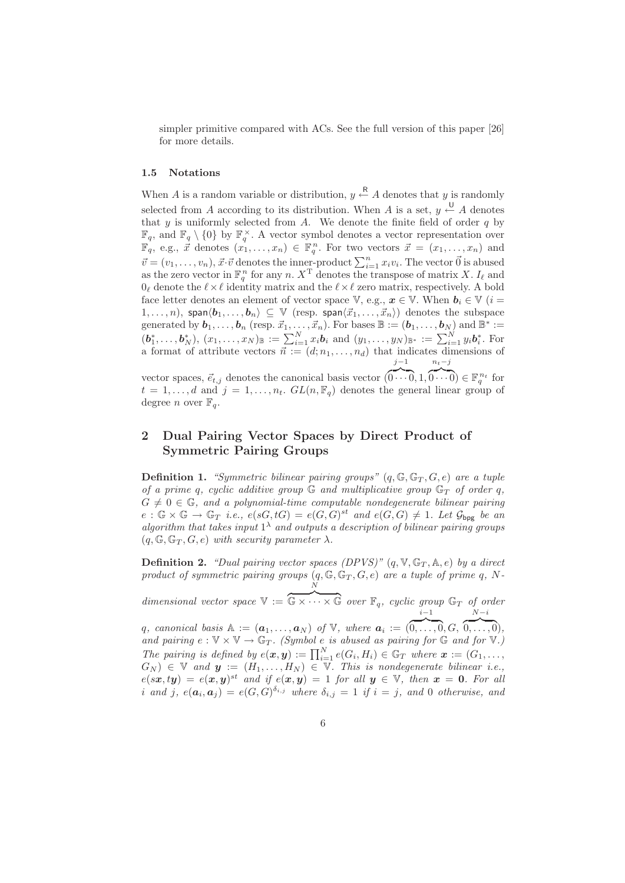simpler primitive compared with ACs. See the full version of this paper [26] for more details.

#### **1.5 Notations**

When A is a random variable or distribution,  $y \stackrel{\mathbb{R}}{\leftarrow} A$  denotes that y is randomly selected from A according to its distribution. When A is a set,  $y \stackrel{\cup}{\leftarrow} A$  denotes that  $y$  is uniformly selected from  $A$ . We denote the finite field of order  $q$  by  $\mathbb{F}_q$ , and  $\mathbb{F}_q \setminus \{0\}$  by  $\mathbb{F}_q^{\times}$ . A vector symbol denotes a vector representation over  $\mathbb{F}_q^{\tau'}$ , e.g.,  $\vec{x}$  denotes  $(x_1,\ldots,x_n) \in \mathbb{F}_q^n$ . For two vectors  $\vec{x} = (x_1,\ldots,x_n)$  and  $\vec{v} = (v_1, \ldots, v_n), \vec{x} \cdot \vec{v}$  denotes the inner-product  $\sum_{i=1}^n x_i v_i$ . The vector  $\vec{0}$  is abused as the zero vector in  $\mathbb{F}_q^n$  for any n.  $X^T$  denotes the transpose of matrix X.  $I_\ell$  and  $0_{\ell}$  denote the  $\ell \times \ell$  identity matrix and the  $\ell \times \ell$  zero matrix, respectively. A bold face letter denotes an element of vector space V, e.g.,  $x \in V$ . When  $b_i \in V$  (i =  $1,\ldots,n$ , span $\langle b_1,\ldots,b_n \rangle \subseteq V$  (resp. span $\langle \vec{x}_1,\ldots,\vec{x}_n \rangle$ ) denotes the subspace generated by  $\mathbf{b}_1,\ldots,\mathbf{b}_n$  (resp.  $\vec{x}_1,\ldots,\vec{x}_n$ ). For bases  $\mathbb{B} := (\mathbf{b}_1,\ldots,\mathbf{b}_N)$  and  $\mathbb{B}^* := (\mathbf{b}_1^*, \ldots, \mathbf{b}_N^*)$  and  $\mathbb{B}^* := (\mathbf{b}_1, \ldots, \mathbf{b}_N^*)$  and  $\mathbb{B}^*$ .  $(b_1^*, \ldots, b_N^*), (x_1, \ldots, x_N)_\mathbb{B} := \sum_{i=1}^N x_i b_i$  and  $(y_1, \ldots, y_N)_{\mathbb{B}^*} := \sum_{i=1}^N y_i b_i^*.$  For a format of attribute vectors  $\vec{n} := (d; n_1, \ldots, n_d)$  that indicates dimensions of  $j-1 \t n_t-j$  $n_t-j$ 

vector spaces,  $\vec{e}_{t,j}$  denotes the canonical basis vector  $(\overbrace{0\cdots 0}^{0}, 1, \overbrace{0\cdots 0}^{0}) \in \mathbb{F}_{q}^{n_t}$  for  $t = 1, \ldots, d$  and  $j = 1, \ldots, n_t$ .  $GL(n, \mathbb{F}_q)$  denotes the general linear group of degree *n* over  $\mathbb{F}_q$ .

# **2 Dual Pairing Vector Spaces by Direct Product of Symmetric Pairing Groups**

**Definition 1.** *"Symmetric bilinear pairing groups"*  $(q, \mathbb{G}, \mathbb{G}_T, G, e)$  *are a tuple of a prime q, cyclic additive group*  $\mathbb{G}$  *and multiplicative group*  $\mathbb{G}_T$  *of order q,*  $G \neq 0 \in \mathbb{G}$ , and a polynomial-time computable nondegenerate bilinear pairing  $e : \mathbb{G} \times \mathbb{G} \to \mathbb{G}_T$  *i.e.,*  $e(sG, tG) = e(G, G)^{st}$  and  $e(G, G) \neq 1$ . Let  $\mathcal{G}_{\text{bpg}}$  be an *algorithm that takes input* 1<sup>λ</sup> *and outputs a description of bilinear pairing groups*  $(q, \mathbb{G}, \mathbb{G}_T, G, e)$  *with security parameter*  $\lambda$ *.* 

**Definition 2.** *"Dual pairing vector spaces (DPVS)"*  $(q, \mathbb{V}, \mathbb{G}_T, \mathbb{A}, e)$  *by a direct* product of symmetric pairing groups  $(q, \mathbb{G}, \mathbb{G}_T, G, e)$  are a tuple of prime q, N-N

*dimensional vector space* V :=  $\widetilde{\mathbb{G}\times\cdots\times\mathbb{G}}$  *over*  $\mathbb{F}_q$ *, cyclic group*  $\mathbb{G}_T$  *of order* i−1 N−i

q, canonical basis  $A := (\boldsymbol{a}_1, \ldots, \boldsymbol{a}_N)$  of  $V$ *, where*  $\boldsymbol{a}_i := (0, \ldots, 0, G, 0, \ldots, 0)$ *,* and pairing  $e : V \times V \rightarrow \mathbb{G}_T$  (Symbol e is abysed as pairing for  $\mathbb{G}$  and for  $V$ ) *and pairing*  $e : \mathbb{V} \times \mathbb{V} \to \mathbb{G}_T$ *. (Symbol e is abused as pairing for*  $\mathbb{G}$  *and for*  $\mathbb{V}$ *.) The pairing is defined by*  $e(x, y) := \prod_{i=1}^{N} e(G_i, H_i) \in \mathbb{G}_T$  where  $x := (G_1, \ldots, G_N) \in \mathbb{V}$  and  $y := (H_1, \ldots, H_N) \in \mathbb{V}$ . This is nondegenerate bilinear *i.e.*  $G_N$ )  $\in$  V and  $\mathbf{y} := (H_1, \ldots, H_N) \in$  V. This is nondegenerate bilinear i.e.,<br> $e(\mathbf{s}\mathbf{r}, t\mathbf{u}) = e(\mathbf{r}, \mathbf{u})^{st}$  and if  $e(\mathbf{r}, \mathbf{u}) = 1$  for all  $\mathbf{u} \in \mathbb{N}$  then  $\mathbf{r} = 0$  For all  $e(sx, ty) = e(x, y)^{st}$  *and if*  $e(x, y) = 1$  *for all*  $y \in V$ *, then*  $x = 0$ *. For all i* and *j*,  $e(a_i, a_j) = e(G, G)^{\delta_{i,j}}$  where  $\delta_{i,j} = 1$  if  $i = j$ , and 0 otherwise, and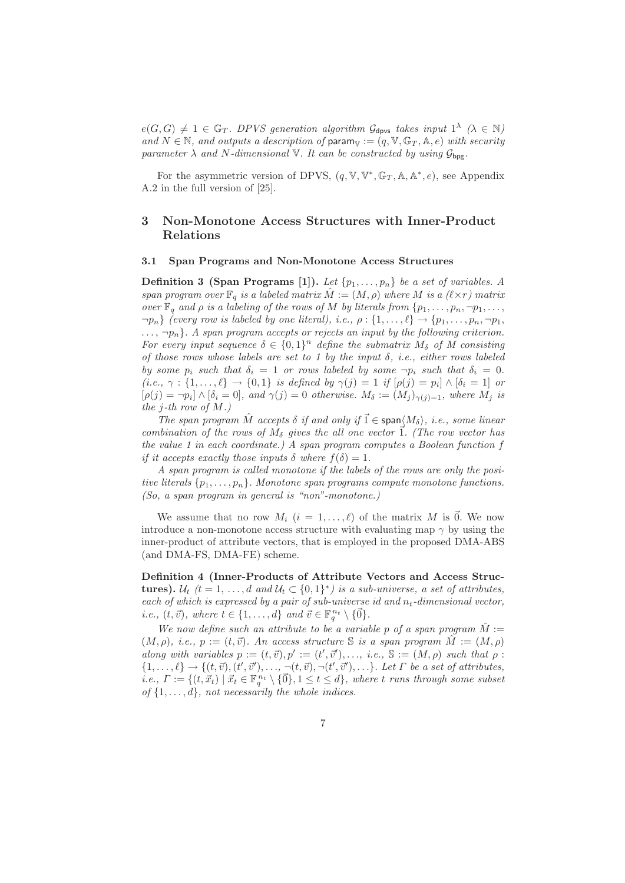$e(G, G) \neq 1 \in \mathbb{G}_T$ . DPVS generation algorithm  $\mathcal{G}_{\text{dpvs}}$  takes input  $1^{\lambda}$  ( $\lambda \in \mathbb{N}$ ) *and*  $N \in \mathbb{N}$ *, and outputs a description of param*<sub>V</sub> :=  $(q, \mathbb{V}, \mathbb{G}_T, \mathbb{A}, e)$  *with security parameter*  $\lambda$  *and*  $N$ -dimensional  $\nabla$ *. It can be constructed by using*  $\mathcal{G}_{\text{bpg}}$ *.* 

For the asymmetric version of DPVS,  $(q, \mathbb{V}, \mathbb{V}^*, \mathbb{G}_T, \mathbb{A}, \mathbb{A}^*, e)$ , see Appendix A.2 in the full version of [25].

# **3 Non-Monotone Access Structures with Inner-Product Relations**

### **3.1 Span Programs and Non-Monotone Access Structures**

**Definition 3 (Span Programs [1]).** Let  $\{p_1, \ldots, p_n\}$  be a set of variables. A *span program over*  $\mathbb{F}_q$  *is a labeled matrix*  $\hat{M} := (M, \rho)$  where M *is a*  $(\ell \times r)$  *matrix over*  $\mathbb{F}_q$  *and*  $\rho$  *is a labeling of the rows of* M *by literals from*  $\{p_1, \ldots, p_n, \neg p_1, \ldots, \varphi_n\}$  $\neg p_n$  *(every row is labeled by one literal), i.e.,*  $\rho: \{1, \ldots, \ell\} \to \{p_1, \ldots, p_n, \neg p_1, \ldots, p_n\}$  $..., \neg p_n$ *. A span program accepts or rejects an input by the following criterion. For every input sequence*  $\delta \in \{0,1\}^n$  *define the submatrix*  $M_{\delta}$  *of*  $M$  *consisting of those rows whose labels are set to 1 by the input* δ*, i.e., either rows labeled by some*  $p_i$  *such that*  $\delta_i = 1$  *or rows labeled by some*  $\neg p_i$  *such that*  $\delta_i = 0$ *.*  $(i.e., \gamma : \{1, \ldots, \ell\} \rightarrow \{0, 1\}$  *is defined by*  $\gamma(j) = 1$  *if*  $[\rho(j) = p_i] \wedge [\delta_i = 1]$  *or*  $[\rho(j) = \neg p_i] \wedge [\delta_i = 0]$ *, and*  $\gamma(j) = 0$  *otherwise.*  $M_\delta := (M_j)_{\gamma(j)=1}$ *, where*  $M_j$  *is the* j*-th row of* M*.)*

*The span program*  $\hat{M}$  *accepts*  $\delta$  *if and only if*  $\vec{1} \in \text{span}\langle M_{\delta} \rangle$ , *i.e., some linear combination of the rows of*  $M_{\delta}$  *gives the all one vector* 1*. (The row vector has the value 1 in each coordinate.) A span program computes a Boolean function* f *if it accepts exactly those inputs*  $\delta$  *where*  $f(\delta)=1$ *.* 

*A span program is called monotone if the labels of the rows are only the positive literals*  $\{p_1, \ldots, p_n\}$ *. Monotone span programs compute monotone functions. (So, a span program in general is "non"-monotone.)*

We assume that no row  $M_i$   $(i = 1, \ldots, \ell)$  of the matrix M is 0. We now introduce a non-monotone access structure with evaluating map  $\gamma$  by using the inner-product of attribute vectors, that is employed in the proposed DMA-ABS (and DMA-FS, DMA-FE) scheme.

**Definition 4 (Inner-Products of Attribute Vectors and Access Structures).**  $\mathcal{U}_t$   $(t = 1, \ldots, d \text{ and } \mathcal{U}_t \subset \{0, 1\}^*)$  is a sub-universe, a set of attributes, *each of which is expressed by a pair of sub-universe id and*  $n_t$ -dimensional vector, *i.e.,*  $(t, \vec{v})$ *, where*  $t \in \{1, \ldots, d\}$  *and*  $\vec{v} \in \mathbb{F}_q^{n_t} \setminus \{\vec{0}\}.$ 

*We now define such an attribute to be a variable*  $p$  *of a span program*  $M :=$  $(M, \rho)$ *, i.e.,*  $p := (t, \vec{v})$ *. An access structure* S *is a span program*  $\hat{M} := (M, \rho)$ *along with variables*  $p := (t, \vec{v}), p' := (t', \vec{v}'), \ldots, i.e., \mathbb{S} := (M, \rho)$  *such that*  $\rho$ :  $\{1,\ldots,\ell\} \rightarrow \{(t,\vec{v}), (t',\vec{v}'),\ldots,-(t,\vec{v}), \neg(t',\vec{v}'),\ldots\}.$  Let  $\Gamma$  be a set of attributes,  $i.e., \Gamma := \{(t, \vec{x}_t) \mid \vec{x}_t \in \mathbb{F}_q^{n_t} \setminus \{\vec{0}\}, 1 \leq t \leq d\},\$  where t *runs through some subset of* {1,...,d}*, not necessarily the whole indices.*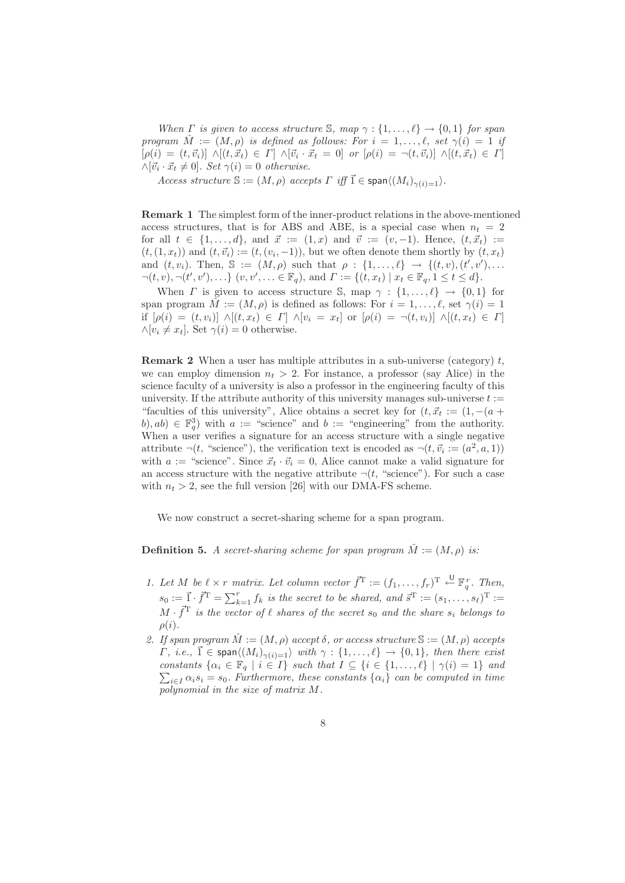*When*  $\Gamma$  *is given to access structure* S, map  $\gamma : \{1, \ldots, \ell\} \rightarrow \{0, 1\}$  *for span program*  $\tilde{M} := (M, \rho)$  *is defined as follows: For*  $i = 1, \ldots, \ell$ , set  $\gamma(i) = 1$  *if*  $[\rho(i)=(t,\vec{v}_i)] \wedge [(t,\vec{x}_t) \in \Gamma] \wedge [\vec{v}_i \cdot \vec{x}_t = 0] \text{ or } [\rho(i) = \neg(t,\vec{v}_i)] \wedge [(t,\vec{x}_t) \in \Gamma]$  $\wedge [\vec{v}_i \cdot \vec{x}_t \neq 0]$ *. Set*  $\gamma(i) = 0$  *otherwise.* 

*Access structure*  $\mathbb{S} := (M, \rho)$  *accepts*  $\Gamma$  *iff*  $\vec{1} \in \text{span}\langle (M_i)_{\gamma(i)=1} \rangle$ .

**Remark 1** The simplest form of the inner-product relations in the above-mentioned access structures, that is for ABS and ABE, is a special case when  $n_t = 2$ for all  $t \in \{1, ..., d\}$ , and  $\vec{x} := (1, x)$  and  $\vec{v} := (v, -1)$ . Hence,  $(t, \vec{x}_t) :=$  $(t,(1, x_t))$  and  $(t,\vec{v}_i) := (t,(v_i,-1))$ , but we often denote them shortly by  $(t, x_t)$ and  $(t, v_i)$ . Then,  $\mathbb{S} := (M, \rho)$  such that  $\rho : \{1, \ldots, \ell\} \to \{(t, v), (t', v'), \ldots\}$  $\neg(t, v), \neg(t', v'), \dots\}$   $(v, v', \dots \in \mathbb{F}_q)$ , and  $\Gamma := \{(t, x_t) \mid x_t \in \mathbb{F}_q, 1 \le t \le d\}.$ 

When  $\Gamma$  is given to access structure S, map  $\gamma : \{1, \ldots, \ell\} \to \{0, 1\}$  for span program  $\hat{M} := (M, \rho)$  is defined as follows: For  $i = 1, \ldots, \ell$ , set  $\gamma(i) = 1$ if  $[\rho(i)=(t, v_i)] \wedge [(t, x_t) \in \Gamma] \wedge [v_i = x_t]$  or  $[\rho(i) = \neg(t, v_i)] \wedge [(t, x_t) \in \Gamma]$  $\wedge [v_i \neq x_t]$ . Set  $\gamma(i) = 0$  otherwise.

**Remark 2** When a user has multiple attributes in a sub-universe (category)  $t$ , we can employ dimension  $n_t > 2$ . For instance, a professor (say Alice) in the science faculty of a university is also a professor in the engineering faculty of this university. If the attribute authority of this university manages sub-universe  $t :=$ "faculties of this university", Alice obtains a secret key for  $(t, \vec{x}_t)$  :=  $(1, -(a +$  $(b), ab) \in \mathbb{F}_q^3$  with  $a :=$  "science" and  $b :=$  "engineering" from the authority. When a user verifies a signature for an access structure with a single negative attribute  $\neg(t, \text{``science''})$ , the verification text is encoded as  $\neg(t, \vec{v}_i := (a^2, a, 1))$ with a := "science". Since  $\vec{x}_t \cdot \vec{v}_i = 0$ , Alice cannot make a valid signature for an access structure with the negative attribute  $\neg(t, \text{ "science").}$  For such a case with  $n_t > 2$ , see the full version [26] with our DMA-FS scheme.

We now construct a secret-sharing scheme for a span program.

**Definition 5.** *A secret-sharing scheme for span program*  $\hat{M} := (M, \rho)$  *is:* 

- *1. Let*  $M$  be  $\ell \times r$  *matrix. Let column vector*  $\vec{f}^T := (f_1, \ldots, f_r)^T \stackrel{\cup}{\leftarrow} \mathbb{F}_q^r$ *. Then,*  $s_0 := \vec{1} \cdot \vec{f}^T = \sum_{k=1}^r f_k$  *is the secret to be shared, and*  $\vec{s}^T := (s_1, \ldots, s_\ell)^T :=$  $M \cdot \vec{f}^T$  *is the vector of*  $\ell$  *shares of the secret*  $s_0$  *and the share*  $s_i$  *belongs to*  $\rho(i)$ .
- 2. If span program  $\hat{M} := (M, \rho)$  accept  $\delta$ , or access structure  $\mathbb{S} := (M, \rho)$  accepts  $\Gamma$ , *i.e.*,  $\overline{1} \in \text{span} \langle (M_i)_{\gamma(i)=1} \rangle$  with  $\gamma : \{1, \ldots, \ell\} \to \{0, 1\}$ , then there exist *constants*  $\{\alpha_i \in \mathbb{F}_q \mid i \in I\}$  *such that*  $I \subseteq \{i \in \{1, \ldots, \ell\} \mid \gamma(i) = 1\}$  *and*  $\sum_{i\in I}\alpha_i s_i = s_0$ . Furthermore, these constants  $\{\alpha_i\}$  can be computed in time *polynomial in the size of matrix* M*.*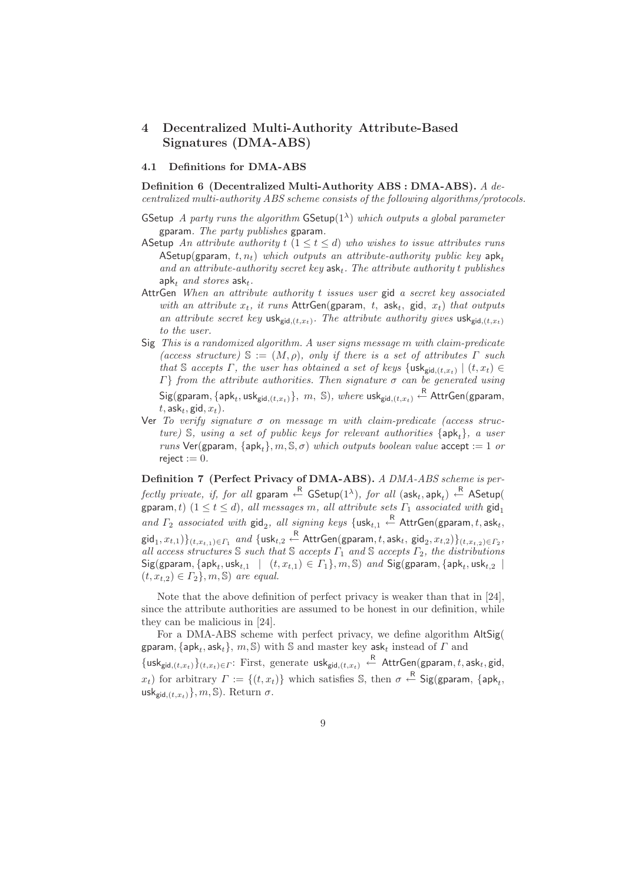# **4 Decentralized Multi-Authority Attribute-Based Signatures (DMA-ABS)**

### **4.1 Definitions for DMA-ABS**

**Definition 6 (Decentralized Multi-Authority ABS : DMA-ABS).** *A decentralized multi-authority ABS scheme consists of the following algorithms/protocols.*

- GSetup *A party runs the algorithm*  $GSetup(1^{\lambda})$  *which outputs a global parameter* gparam*. The party publishes* gparam*.*
- ASetup *An attribute authority*  $t$  ( $1 \le t \le d$ ) who wishes to issue attributes runs ASetup(gparam,  $t, n_t$ ) *which outputs an attribute-authority public key*  $apk_t$ *and an attribute-authority secret key* ask<sub>t</sub>. The attribute authority t publishes  $a$ pk<sub>t</sub> and stores  $a$ sk<sub>t</sub>.
- AttrGen *When an attribute authority* t *issues user* gid *a secret key associated with an attribute*  $x_t$ , *it runs* AttrGen(gparam, t, ask<sub>t</sub>, gid,  $x_t$ ) *that outputs an attribute secret key* usk<sub>gid,(t,x<sub>t</sub>)</sub>. The attribute authority gives usk<sub>gid,(t,x<sub>t</sub>)</sub> *to the user.*
- Sig *This is a randomized algorithm. A user signs message* m *with claim-predicate*  $(a \csc s \ structure) \mathbb{S} := (M, \rho)$ *, only if there is a set of attributes*  $\Gamma$  *such that* S *accepts*  $\Gamma$ *, the user has obtained a set of keys* {usk<sub>gid,(t,x<sub>t</sub>)</sub> | (t,x<sub>t</sub>) ∈ Γ} *from the attribute authorities. Then signature* σ *can be generated using*

 $\mathsf{Sig}(\mathsf{gparam},\{\mathsf{apk}_t,\mathsf{usk}_{\mathsf{gid},(t,x_t)}\},~m,~\mathbb{S}),~where~\mathsf{usk}_{\mathsf{gid},(t,x_t)} \overset{\mathsf{R}}{\leftarrow} \mathsf{AttrGen}(\mathsf{gparam},$  $t$ , ask<sub>t</sub>, gid,  $x_t$ ).

Ver *To verify signature* σ *on message* m *with claim-predicate (access structure*) S, using a set of public keys for relevant authorities  $\{apk_t\}$ , a user *runs* Ver(gparam,  $\{apk_t\}, m, S, \sigma\}$  *which outputs boolean value* accept := 1 *or*  $reiect := 0.$ 

**Definition 7 (Perfect Privacy of DMA-ABS).** *A DMA-ABS scheme is per-* $\emph{fectly private, if, for all  $\emph{span}\leftarrow^{\rm R}$   $\emph{GSetup}(1^{\lambda}), \emph{for all}$   $\emph{(ask_t,apk_t)}\leftarrow^{\rm R}$   $\emph{ASetup}(1^{\lambda})$$  $g$ param, t) (1  $\le t \le d$ ), all *messages* m, all attribute sets  $\Gamma_1$  associated with  $\text{gid}_1$ and  $\Gamma_2$  associated with  $\text{gid}_2$ , all signing keys  $\{\textsf{usk}_{t,1} \leftarrow^{\mathsf{R}} \textsf{AttrGen}(\textsf{gparam}, t, \textsf{ask}_t,$  $\{\textsf{gid}_1,x_{t,1})\}_{(t,x_{t,1})\in \varGamma_1}$  and  $\{\textsf{usk}_{t,2} \overset{\mathsf{R}}{\leftarrow} \textsf{AttrGen}(\textsf{gparam},t,\textsf{ask}_t,\, \textsf{gid}_2,x_{t,2})\}_{(t,x_{t,2})\in \varGamma_2},$ *all access structures*  $\mathbb S$  *such that*  $\mathbb S$  *accepts*  $\Gamma_1$  *and*  $\mathbb S$  *accepts*  $\Gamma_2$ *, the distributions*  $\mathsf{Sig}(\mathsf{gparam}, \{\mathsf{apk}_t, \mathsf{usk}_{t,1} \mid (t, x_{t,1}) \in \varGamma_1\}, m, \mathbb{S}) \text{ and } \mathsf{Sig}(\mathsf{gparam}, \{\mathsf{apk}_t, \mathsf{usk}_{t,2} \mid$  $(t, x_{t,2}) \in \Gamma_2$ , m, S) are equal.

Note that the above definition of perfect privacy is weaker than that in [24], since the attribute authorities are assumed to be honest in our definition, while they can be malicious in [24].

For a DMA-ABS scheme with perfect privacy, we define algorithm AltSig( gparam,  $\{apk_t, ask_t\}$ ,  $m$ , S) with S and master key ask<sub>t</sub> instead of  $\Gamma$  and

 $\{\textsf{usk}_{\textsf{gid},(t,x_t)}\}_{(t,x_t)\in\varGamma}$ : First, generate usk<sub>gid, $(t,x_t)\stackrel{\mathsf{R}}{\leftarrow}$  AttrGen(gparam, t, ask<sub>t</sub>, gid,</sub>  $(x_t)$  for arbitrary  $\varGamma:=\{(t,x_t)\}$  which satisfies S, then  $\sigma\stackrel{\mathsf{R}}{\leftarrow}$  Sig(gparam, {apk<sub>t</sub>, usk<sub>gid,(t,xt)</sub>, m, S). Return  $\sigma$ .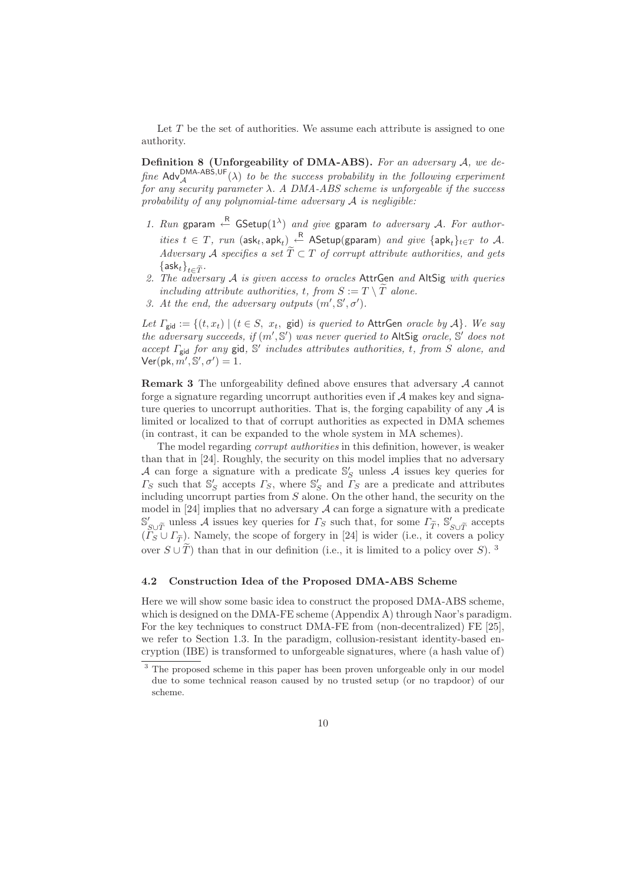Let T be the set of authorities. We assume each attribute is assigned to one authority.

**Definition 8 (Unforgeability of DMA-ABS).** *For an adversary* A*, we de*fine  $\text{Adv}_{\mathcal{A}}^{\text{DMA-ABS,UF}}(\lambda)$  *to be the success probability in the following experiment for any security parameter* λ*. A DMA-ABS scheme is unforgeable if the success probability of any polynomial-time adversary* A *is negligible:*

- 1. Run gparam  $\stackrel{R}{\leftarrow}$  GSetup(1<sup> $\lambda$ </sup>) and give gparam to adversary A. For author $i$ *ties*  $t \in T$ *, run* (ask<sub>t</sub>, apk<sub>t</sub>)  $\stackrel{\ {\sf R}}{\leftarrow}$  ASetup(gparam) *and give* {apk<sub>t</sub>}<sub>t∈T</sub> *to*  ${\cal A}$ *. Adversary* A specifies a set  $\widetilde{T} \subset T$  of corrupt attribute authorities, and gets  $\left\{ \mathsf{ask}_t \right\}_{t \in \widetilde{T}}$ .
- *2. The adversary* A *is given access to oracles* AttrGen *and* AltSig *with queries including attribute authorities, t, from*  $S := T \setminus T$  *alone.*
- 3. At the end, the adversary outputs  $(m', S', \sigma')$ .

*Let*  $\Gamma_{\text{gid}} := \{(t, x_t) \mid (t \in S, x_t, \text{gid}) \text{ is queried to AttrGen oracle by } A\}$ *. We say the adversary succeeds, if*  $(m', S')$  *was never queried to* AltSig *oracle,* S' *does not accept* Γgid *for any* gid*,* S *includes attributes authorities,* t*, from* S *alone, and*  $\mathsf{Ver}(\mathsf{pk}, m', \mathbb{S}', \sigma') = 1.$ 

**Remark 3** The unforgeability defined above ensures that adversary A cannot forge a signature regarding uncorrupt authorities even if A makes key and signature queries to uncorrupt authorities. That is, the forging capability of any  $A$  is limited or localized to that of corrupt authorities as expected in DMA schemes (in contrast, it can be expanded to the whole system in MA schemes).

The model regarding *corrupt authorities* in this definition, however, is weaker than that in [24]. Roughly, the security on this model implies that no adversary A can forge a signature with a predicate  $\mathbb{S}'_S$  unless A issues key queries for  $\Gamma_S$  such that  $\mathbb{S}'_S$  accepts  $\Gamma_S$ , where  $\mathbb{S}'_S$  and  $\Gamma_S$  are a predicate and attributes including uncorrupt parties from  $S$  alone. On the other hand, the security on the model in  $[24]$  implies that no adversary  $A$  can forge a signature with a predicate  $\mathbb{S}'_{S\cup \widetilde{T}}$  unless A issues key queries for  $\Gamma_S$  such that, for some  $\Gamma_{\widetilde{T}}, \mathbb{S}'_{S\cup \widetilde{T}}$  accepts  $(\Gamma_S \cup \Gamma_{\widetilde{T}})$ . Namely, the scope of forgery in [24] is wider (i.e., it covers a policy over  $S \cup \tilde{T}$ ) than that in our definition (i.e., it is limited to a policy over S). <sup>3</sup>

### **4.2 Construction Idea of the Proposed DMA-ABS Scheme**

Here we will show some basic idea to construct the proposed DMA-ABS scheme, which is designed on the DMA-FE scheme (Appendix A) through Naor's paradigm. For the key techniques to construct DMA-FE from (non-decentralized) FE [25], we refer to Section 1.3. In the paradigm, collusion-resistant identity-based encryption (IBE) is transformed to unforgeable signatures, where (a hash value of)

<sup>&</sup>lt;sup>3</sup> The proposed scheme in this paper has been proven unforgeable only in our model due to some technical reason caused by no trusted setup (or no trapdoor) of our scheme.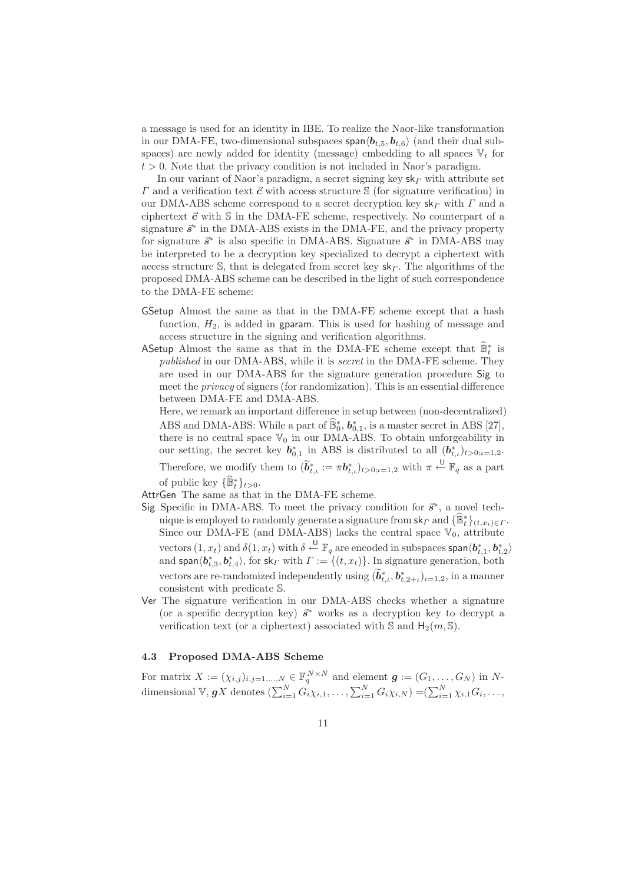a message is used for an identity in IBE. To realize the Naor-like transformation in our DMA-FE, two-dimensional subspaces  $\textsf{span}\langle \boldsymbol{b}_{t,5}, \boldsymbol{b}_{t,6} \rangle$  (and their dual subspaces) are newly added for identity (message) embedding to all spaces  $V_t$  for  $t > 0$ . Note that the privacy condition is not included in Naor's paradigm.

In our variant of Naor's paradigm, a secret signing key  $\mathsf{sk}_{\Gamma}$  with attribute set  $\Gamma$  and a verification text  $\vec{c}$  with access structure S (for signature verification) in our DMA-ABS scheme correspond to a secret decryption key  $\mathsf{sk}_\Gamma$  with  $\Gamma$  and a ciphertext  $\vec{c}$  with  $\hat{S}$  in the DMA-FE scheme, respectively. No counterpart of a signature  $\vec{s}^*$  in the DMA-ABS exists in the DMA-FE, and the privacy property for signature *<sup>s</sup>*<sup>∗</sup> is also specific in DMA-ABS. Signature *s*<sup>∗</sup> in DMA-ABS may be interpreted to be a decryption key specialized to decrypt a ciphertext with access structure S, that is delegated from secret key  $s\,k_F$ . The algorithms of the proposed DMA-ABS scheme can be described in the light of such correspondence to the DMA-FE scheme:

- GSetup Almost the same as that in the DMA-FE scheme except that a hash function,  $H_2$ , is added in gparam. This is used for hashing of message and access structure in the signing and verification algorithms.
- ASetup Almost the same as that in the DMA-FE scheme except that  $\widehat{\mathbb{B}}_t^*$  is *published* in our DMA-ABS, while it is *secret* in the DMA-FE scheme. They are used in our DMA-ABS for the signature generation procedure Sig to meet the *privacy* of signers (for randomization). This is an essential difference between DMA-FE and DMA-ABS.

Here, we remark an important difference in setup between (non-decentralized) ABS and DMA-ABS: While a part of  $\mathbb{B}_0^*, \mathbf{b}_{0,1}^*,$  is a master secret in ABS [27], there is no central space  $\mathbb{V}_0$  in our DMA-ABS. To obtain upforgeability in there is no central space  $\mathbb{V}_0$  in our DMA-ABS. To obtain unforgeability in our setting, the secret key  $b_{0,1}^*$  in ABS is distributed to all  $(b_{t,\iota}^*)_{t>0; \iota=1,2}$ .

Therefore, we modify them to  $(\widetilde{b}^*_{t,\iota} := \pi b^*_{t,\iota})_{t>0; \iota=1,2}$  with  $\pi \stackrel{\cup}{\leftarrow} \mathbb{F}_q$  as a part of public key  $\{\widehat{\mathbb{B}}_t^*\}_{t>0}$ .

AttrGen The same as that in the DMA-FE scheme.

- Sig Specific in DMA-ABS. To meet the privacy condition for *s*<sup>∗</sup>, a novel technique is employed to randomly generate a signature from  $\mathsf{sk}_\varGamma$  and  $\{\widehat{\mathbb{B}}_t^*\}_{(t,x_t)\in\varGamma}$ . Since our DMA-FE (and DMA-ABS) lacks the central space  $\mathbb{V}_0$ , attribute vectors  $(1, x_t)$  and  $\delta(1, x_t)$  with  $\delta \stackrel{\cup}{\leftarrow} \mathbb{F}_q$  are encoded in subspaces span $\langle b_{t,1}^*, b_{t,2}^* \rangle$ and span $\langle b_{t,3}^*, b_{t,4}^*\rangle$ , for sk<sub>Γ</sub> with  $\Gamma := \{(t, x_t)\}\.$  In signature generation, both vectors are re-randomized independently using  $(\vec{b}_{t,\iota}^*, \vec{b}_{t,2+\iota}^*)_{\iota=1,2}$ , in a manner<br>consistent with predicate  $\mathbb{S}$ consistent with predicate S.
- Ver The signature verification in our DMA-ABS checks whether a signature (or a specific decryption key)  $\vec{s}^*$  works as a decryption key to decrypt a verification text (or a ciphertext) associated with  $\mathbb S$  and  $\mathsf H_2(m,\mathbb S)$ .

## **4.3 Proposed DMA-ABS Scheme**

For matrix  $X := (\chi_{i,j})_{i,j=1,\dots,N} \in \mathbb{F}_q^{N \times N}$  and element  $g := (G_1, \dots, G_N)$  in Ndimensional V,  $gX$  denotes  $\left(\sum_{i=1}^N G_i \chi_{i,1}, \ldots, \sum_{i=1}^N G_i \chi_{i,N}\right) = \left(\sum_{i=1}^N \chi_{i,1} G_i, \ldots, \right)$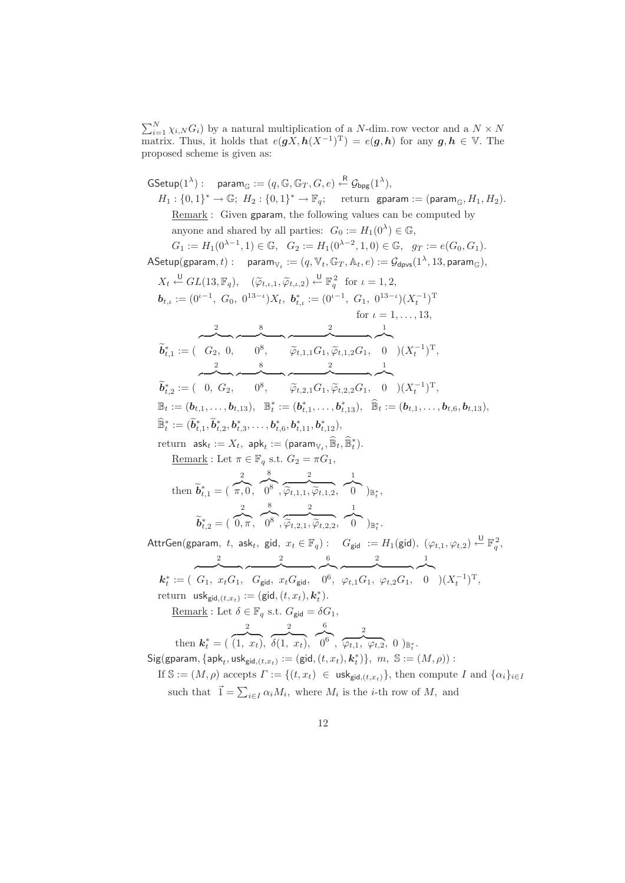$\sum_{i=1}^{N} \chi_{i,N} G_i$  by a natural multiplication of a N-dim. row vector and a  $N \times N$ matrix. Thus, it holds that  $e(gX, h(X^{-1})^T) = e(g, h)$  for any  $g, h \in V$ . The proposed scheme is given as:

 $\mathsf{GSetup}(1^\lambda): \quad \mathsf{param}_\mathbb{G} := (q,\mathbb{G},\mathbb{G}_T,G,e) \overset{\mathsf{R}}{\leftarrow} \mathcal{G}_{\mathsf{bpg}}(1^\lambda),$  $H_1 : \{0,1\}^* \to \mathbb{G}; H_2 : \{0,1\}^* \to \mathbb{F}_q;$  return gparam := (param<sub>G</sub>,  $H_1, H_2$ ). Remark : Given gparam, the following values can be computed by anyone and shared by all parties:  $G_0 := H_1(0^{\lambda}) \in \mathbb{G}$ ,  $G_1 := H_1(0^{\lambda - 1}, 1) \in \mathbb{G}, \quad G_2 := H_1(0^{\lambda - 2}, 1, 0) \in \mathbb{G}, \quad q_T := e(G_0, G_1).$ ASetup(gparam, t) : param<sub>V, :</sub> =  $(q, \mathbb{V}_t, \mathbb{G}_T, \mathbb{A}_t, e) := \mathcal{G}_{d\text{pvs}}(1^{\lambda}, 13, \text{param}_{\mathbb{G}})$ ,  $X_t \stackrel{\mathsf{U}}{\leftarrow} GL(13, \mathbb{F}_q), \quad (\widetilde{\varphi}_{t,\iota,1}, \widetilde{\varphi}_{t,\iota,2}) \stackrel{\mathsf{U}}{\leftarrow} \mathbb{F}_q^2 \text{ for } \iota = 1, 2,$  $\boldsymbol{b}_{t,\iota} := (0^{\iota-1}, G_0, 0^{13-\iota})X_t, \ \boldsymbol{b}^*_{t,\iota} := (0^{\iota-1}, G_1, 0^{13-\iota})(X_t^{-1})^{\mathrm{T}}$ for  $\iota = 1, ..., 13$ , 2 <sup>8</sup> <sup>2</sup> <sup>1</sup>  $\widetilde{b}_{t,1}^* := (G_2, 0, \ldots, 0^8, \ldots, \widetilde{\varphi}_{t,1,1} G_1, \widetilde{\varphi}_{t,1,2} G_1, \ldots, 0) (X_t^{-1})^{\mathrm{T}},$  $\overbrace{\hspace{2.5cm}}^{2}$   $\overbrace{\hspace{2.5cm}}^{8}$   $\overbrace{\hspace{2.5cm}}^{2}$   $\overbrace{\hspace{2.5cm}}^{1}$  $\widetilde{b}_{t,2}^* := (0, G_2, \ldots, 0^8, \ldots, \widetilde{\varphi}_{t,2,1} G_1, \widetilde{\varphi}_{t,2,2} G_1, \ldots, 0) (X_t^{-1})^{\mathrm{T}},$  $\mathbb{B}_t := (\bm{b}_{t,1},\ldots,\bm{b}_{t,13}), \ \ \mathbb{B}^*_t := (\bm{b}^*_{t,1},\ldots,\bm{b}^*_{t,13}), \ \ \mathbb{\widehat{B}}_t := (\bm{b}_{t,1},\ldots,\bm{b}_{t,6},\bm{b}_{t,13}),$  $\widehat{\mathbb{B}}_t^* := (\widetilde{b}^*_{t,1}, \widetilde{b}^*_{t,2}, b^*_{t,3}, \ldots, b^*_{t,6}, b^*_{t,11}, b^*_{t,12}),$  $\text{return \ } \mathsf{ask}_t := X_t, \ \mathsf{apk}_t := (\mathsf{param}_{\mathbb{V}_t}, \widehat{\mathbb{B}}_t, \widehat{\mathbb{B}}_t^*).$ Remark : Let  $\pi \in \mathbb{F}_q$  s.t.  $G_2 = \pi G_1$ , then  $\widetilde{b}^*_{t,1}$  = ( 2  $\widehat{\pi,0}$ , 8  $\widehat{\theta^8}$ 2  $\overbrace{\widetilde{\varphi}_{t,1,1},\widetilde{\varphi}_{t,1,2}}$ 1  $\widehat{0}$  )<sub>B</sub><sup>\*</sup></sub>,  $\widetilde{b}^*_{t,2} = ($ 2  $\widehat{0,\pi}$ , 8  $\widehat{\theta^8}$ 2  $\overbrace{\widetilde{\varphi}_{t,2,1},\widetilde{\varphi}_{t,2,2}}$ 1  $\widehat{0}$  )<sub>B<sup>\*</sup></sub>.  $\mathsf{AttrGen}(\mathsf{gparam},\;t,\;\mathsf{ask}_t,\;\mathsf{gid},\;x_t\in \mathbb{F}_q):\quad G_{\mathsf{gid}}\;:=H_1(\mathsf{gid}),\;(\varphi_{t,1},\varphi_{t,2})\stackrel{\mathsf{U}}{\leftarrow}\mathbb{F}_q^{\,2},$  $\begin{array}{ccc} & & & & 2 & & 6 \\ \hline & & & & & \end{array}$  $\overbrace{\phantom{134521}}^2$  $\mathbf{k}_t^* := (G_1, x_t G_1, G_{\text{gid}}, x_t G_{\text{gid}}, 0^6, \varphi_{t,1} G_1, \varphi_{t,2} G_1, 0) (X_t^{-1})^{\text{T}},$ return  $\text{usk}_{\text{gid},(t,x_t)} := (\text{gid},(t,x_t), \mathbf{k}_t^*).$ Remark : Let  $\delta \in \mathbb{F}_q$  s.t.  $G_{\text{gid}} = \delta G_1$ , then  $\mathbf{k}_t^*$  = ( 2  $\overline{(1, x_t)}$ 2  $\overline{\delta(1, x_t)},$ 6  $\widehat{0^6}$ , 2  $\overbrace{\varphi_{t,1}, \varphi_{t,2}}$ , 0 )<sub>B</sub><sub>*t*</sub>. Sig(gparam, {apk<sub>t</sub>, usk<sub>gid,(t,x<sub>t</sub>)</sub> := (gid,(t,x<sub>t</sub>),  $\mathbf{k}_t^*$ )},  $m, S := (M, \rho)$ ) : If  $\mathbb{S} := (M, \rho)$  accepts  $\Gamma := \{(t, x_t) \in \mathsf{usk}_{\mathsf{gid},(t,x_t)}\}$ , then compute I and  $\{\alpha_i\}_{i \in I}$ such that  $\vec{1} = \sum_{i \in I} \alpha_i M_i$ , where  $M_i$  is the *i*-th row of  $M$ , and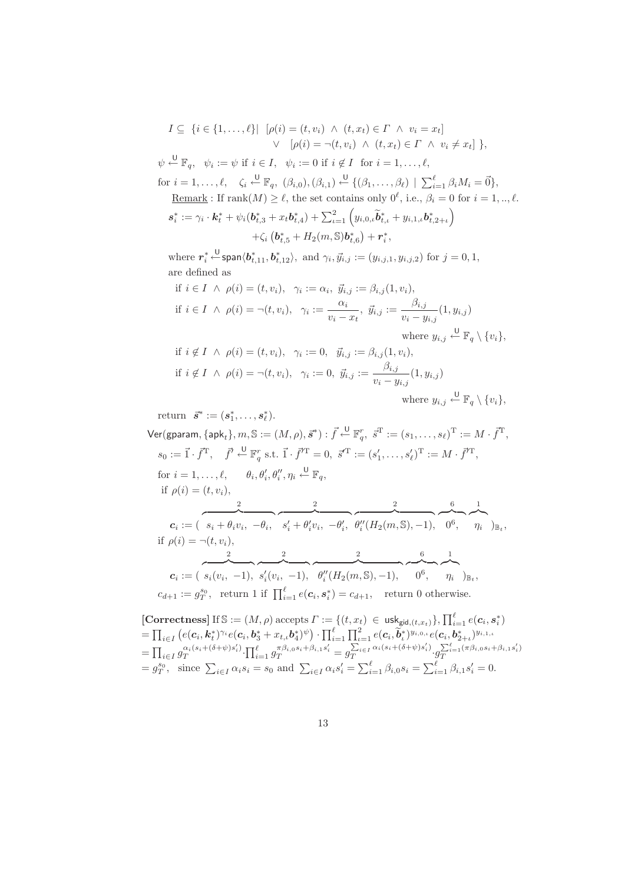$$
I \subseteq \{i \in \{1, \ldots, \ell\} | \left[\rho(i) = (t, v_i) \wedge (t, x_t) \in \Gamma \wedge v_i = x_t\right] \vee \left[\rho(i) = \neg(t, v_i) \wedge (t, x_t) \in \Gamma \wedge v_i \neq x_t\right] \},
$$

 $\psi \stackrel{\mathsf{U}}{\leftarrow} \mathbb{F}_q$ ,  $\psi_i := \psi$  if  $i \in I$ ,  $\psi_i := 0$  if  $i \notin I$  for  $i = 1, \ldots, \ell$ , for  $i = 1, ..., \ell, \quad \zeta_i \stackrel{\cup}{\leftarrow} \mathbb{F}_q$ ,  $(\beta_{i,0}), (\beta_{i,1}) \stackrel{\cup}{\leftarrow} \{(\beta_1, ..., \beta_\ell) \mid \sum_{i=1}^{\ell} \beta_i M_i = \vec{0}\},$ Remark: If rank $(M) \geq \ell$ , the set contains only  $0^{\ell}$ , i.e.,  $\beta_i = 0$  for  $i = 1, ..., \ell$ .

$$
\mathbf{s}_{i}^{*} := \gamma_{i} \cdot \mathbf{k}_{t}^{*} + \psi_{i}(\mathbf{b}_{t,3}^{*} + x_{t} \mathbf{b}_{t,4}^{*}) + \sum_{\iota=1}^{2} \left( y_{i,0,\iota} \widetilde{\mathbf{b}}_{t,\iota}^{*} + y_{i,1,\iota} \mathbf{b}_{t,2+\iota}^{*} \right) + \zeta_{i} \left( \mathbf{b}_{t,5}^{*} + H_{2}(m,\mathbb{S}) \mathbf{b}_{t,6}^{*} \right) + \mathbf{r}_{i}^{*},
$$

where  $r_i^* \stackrel{U}{\leftarrow}$  span $\langle b_{t,11}^*, b_{t,12}^* \rangle$ , and  $\gamma_i, \vec{y}_{i,j} := (y_{i,j,1}, y_{i,j,2})$  for  $j = 0, 1$ , are defined as

if 
$$
i \in I \land \rho(i) = (t, v_i), \quad \gamma_i := \alpha_i, \quad \vec{y}_{i,j} := \beta_{i,j}(1, v_i),
$$
  
\nif  $i \in I \land \rho(i) = \neg(t, v_i), \quad \gamma_i := \frac{\alpha_i}{v_i - x_t}, \quad \vec{y}_{i,j} := \frac{\beta_{i,j}}{v_i - y_{i,j}}(1, y_{i,j})$   
\nwhere  $y_{i,j} \stackrel{\text{U}}{\leftarrow} \mathbb{F}_q \setminus \{v_i\},$   
\nif  $i \notin I \land \rho(i) = (t, v_i), \quad \gamma_i := 0, \quad \vec{y}_{i,j} := \beta_{i,j}(1, v_i),$   
\nif  $i \notin I \land \rho(i) = \neg(t, v_i), \quad \gamma_i := 0, \quad \vec{y}_{i,j} := \frac{\beta_{i,j}}{v_i - y_{i,j}}(1, y_{i,j})$ 

where  $y_{i,j} \stackrel{\mathsf{U}}{\leftarrow} \mathbb{F}_q \setminus \{v_i\},\$ 

return  $\vec{s}^* := (s_1^*, \ldots, s_\ell^*).$ 

 $\mathsf{Ver}(\mathsf{gparam},\{\mathsf{apk}_t\},m,\mathbb{S}:=(M,\rho),\vec{\boldsymbol{s}}^*): \vec{f}\overset{\sf U}{\leftarrow}\mathbb{F}^r_q, \ \vec{s}^{\mathrm{T}}:=(s_1,\ldots,s_\ell)^{\mathrm{T}}:=M\cdot\vec{f}^{\mathrm{T}},$  $s_0 := \vec{1} \cdot \vec{f}^{\mathrm{T}}$ ,  $\vec{f'} \stackrel{\cup}{\leftarrow} \mathbb{F}_q^r$  s.t.  $\vec{1} \cdot \vec{f'}^{\mathrm{T}} = 0$ ,  $\vec{s'}^{\mathrm{T}} := (s'_1, \dots, s'_\ell)^{\mathrm{T}} := M \cdot \vec{f'}^{\mathrm{T}}$ , for  $i = 1, \ldots, \ell, \quad \theta_i, \theta'_i, \theta''_i, \eta_i \stackrel{\cup}{\leftarrow} \mathbb{F}_q$ if  $\rho(i)=(t, v_i),$ 2 <sup>2</sup> <sup>2</sup> <sup>6</sup> <sup>1</sup>  $c_i := (s_i + \theta_i v_i, -\theta_i, s'_i + \theta'_i v_i, -\theta'_i, \theta''_i(H_2(m, \mathbb{S}), -1), 0^6, \eta_i)_{\mathbb{B}_t},$ if  $\rho(i) = \neg(t, v_i)$ ,  $\begin{array}{ccc} \hline \begin{array}{ccc} 2 \end{array} & \begin{array}{ccc} 2 \end{array} & \begin{array}{ccc} 6 \end{array} & \begin{array}{ccc} 1 \end{array} \end{array}$  $c_i := (s_i(v_i, -1), s'_i(v_i, -1), \theta''_i(H_2(m, \mathbb{S}), -1), \theta^6, \eta_i)_{\mathbb{B}_t},$  $c_{d+1} := g_T^{s_0}$ , return 1 if  $\prod_{i=1}^{\ell} e(c_i, s_i^*) = c_{d+1}$ , return 0 otherwise.

**[Correctness]** If  $\mathbb{S} := (M, \rho)$  accepts  $\Gamma := \{(t, x_t) \in \text{usk}_{\text{gid},(t, x_t)}\}, \prod_{i=1}^{\ell} e(c_i, s_i^*)$  $=\prod_{i\in I}\big(e(\bm{c}_i,\bm{k}^*_t)^{\gamma_i}e(\bm{c}_i,\bm{b}^*_3+x_{t,\bm{\iota}}\bm{b}^*_4)^{\psi}\big)\cdot \prod_{i=1}^{\ell}\prod_{i=1}^2e(\bm{c}_i,\bm{\widetilde{b}}^*_t)^{y_{i,0,\bm{\iota}}}e(\bm{c}_i,\bm{b}^*_{2+\bm{\iota}})^{y_{i,1,\bm{\iota}}}$  $=\prod_{i\in I}g_T^{\alpha_i(s_i+(\delta+\psi)s'_i)}\cdot\prod_{i=1}^\ell g_T^{\pi\beta_{i,0}s_i+\beta_{i,1}s'_i}=g_T^{\sum_{i\in I}\alpha_i(s_i+(\delta+\psi)s'_i)}\cdot g_T^{\sum_{i=1}^\ell(\pi\beta_{i,0}s_i+\beta_{i,1}s'_i)}$  $=g_T^{s_0}$ , since  $\sum_{i\in I}\alpha_i s_i = s_0$  and  $\sum_{i\in I}\alpha_i s'_i = \sum_{i=1}^{\ell} \beta_{i,0} s_i = \sum_{i=1}^{\ell} \beta_{i,1} s'_i = 0$ .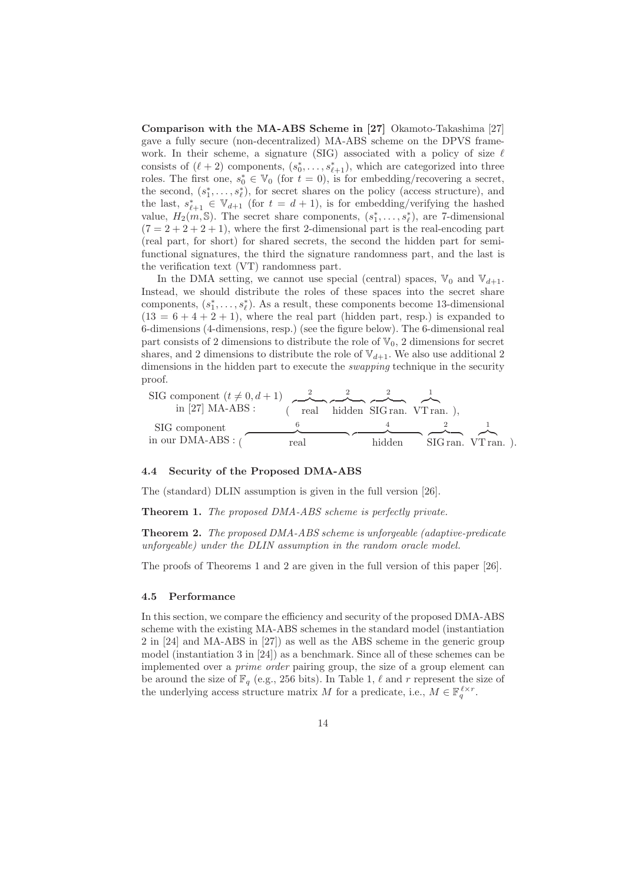**Comparison with the MA-ABS Scheme in [27]** Okamoto-Takashima [27] gave a fully secure (non-decentralized) MA-ABS scheme on the DPVS framework. In their scheme, a signature (SIG) associated with a policy of size  $\ell$ consists of  $(\ell + 2)$  components,  $(s_0^*, \ldots, s_{\ell+1}^*)$ , which are categorized into three roles. The first one,  $s_0^* \in V_0$  (for  $t = 0$ ), is for embedding/recovering a secret, the second,  $(s_1^*, \ldots, s_\ell^*)$ , for secret shares on the policy (access structure), and the last,  $s_{\ell+1}^* \in V_{d+1}$  (for  $t = d + 1$ ), is for embedding/verifying the hashed value,  $H_2(m, \mathbb{S})$ . The secret share components,  $(s_1^*, \ldots, s_\ell^*)$ , are 7-dimensional  $(7 = 2 + 2 + 2 + 1)$ , where the first 2-dimensional part is the real-encoding part (real part, for short) for shared secrets, the second the hidden part for semifunctional signatures, the third the signature randomness part, and the last is the verification text (VT) randomness part.

In the DMA setting, we cannot use special (central) spaces,  $\mathbb{V}_0$  and  $\mathbb{V}_{d+1}$ . Instead, we should distribute the roles of these spaces into the secret share components,  $(s_1^*, \ldots, s_\ell^*)$ . As a result, these components become 13-dimensional  $(13 = 6 + 4 + 2 + 1)$ , where the real part (hidden part, resp.) is expanded to 6-dimensions (4-dimensions, resp.) (see the figure below). The 6-dimensional real part consists of 2 dimensions to distribute the role of  $\mathbb{V}_0$ , 2 dimensions for secret shares, and 2 dimensions to distribute the role of  $\mathbb{V}_{d+1}$ . We also use additional 2 dimensions in the hidden part to execute the *swapping* technique in the security proof.

| SIG component $(t \neq 0, d+1)$ | $\frac{2}{\text{real}}$ | $\frac{2}{\text{hidden}}$ | $\frac{1}{\text{N}} \cdot \frac{1}{\text{N}} \cdot \frac{1}{\text{N}}$ |
|---------------------------------|-------------------------|---------------------------|------------------------------------------------------------------------|
| SIG component in our DMA-ABS :  | 6                       | $\frac{4}{\text{hidden}}$ | $\frac{2}{\text{SIG ran.}} \cdot \frac{1}{\text{NT ran.}}$             |

#### **4.4 Security of the Proposed DMA-ABS**

The (standard) DLIN assumption is given in the full version [26].

**Theorem 1.** *The proposed DMA-ABS scheme is perfectly private.*

**Theorem 2.** *The proposed DMA-ABS scheme is unforgeable (adaptive-predicate unforgeable) under the DLIN assumption in the random oracle model.*

The proofs of Theorems 1 and 2 are given in the full version of this paper [26].

#### **4.5 Performance**

In this section, we compare the efficiency and security of the proposed DMA-ABS scheme with the existing MA-ABS schemes in the standard model (instantiation 2 in [24] and MA-ABS in [27]) as well as the ABS scheme in the generic group model (instantiation 3 in [24]) as a benchmark. Since all of these schemes can be implemented over a *prime order* pairing group, the size of a group element can be around the size of  $\mathbb{F}_q$  (e.g., 256 bits). In Table 1,  $\ell$  and r represent the size of the underlying access structure matrix M for a predicate, i.e.,  $M \in \mathbb{F}_q^{\ell \times r}$ .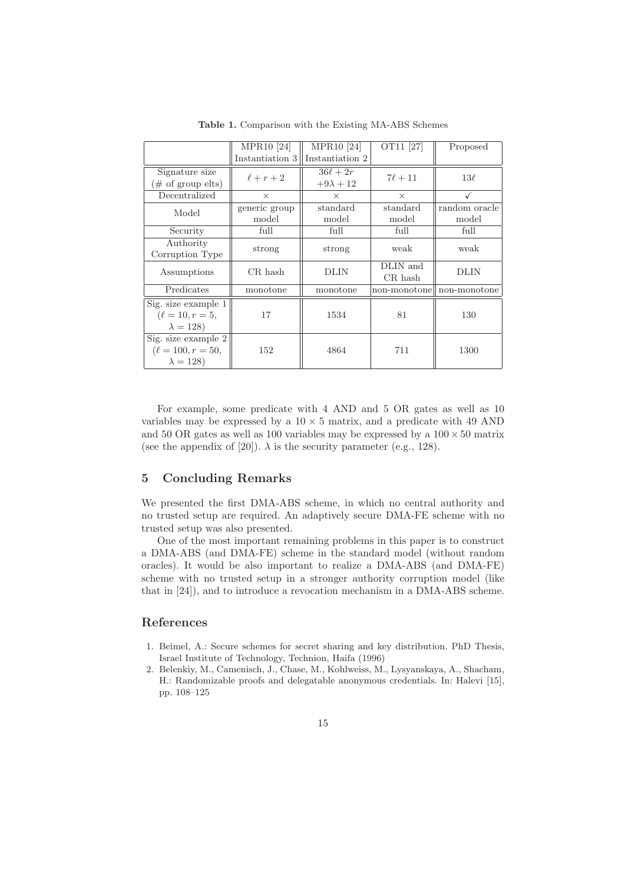|                             | MPR10 [24]      | MPR10 [24]       | $\overline{\text{OT}}11$ [27] | Proposed                    |
|-----------------------------|-----------------|------------------|-------------------------------|-----------------------------|
|                             | Instantiation 3 | Instantiation 2  |                               |                             |
| Signature size              | $\ell+r+2$      | $36\ell + 2r$    | $7\ell + 11$                  | $13\ell$                    |
| $(\text{\# of group elts})$ |                 | $+9\lambda + 12$ |                               |                             |
| Decentralized               | X               | $\times$         | $\times$                      |                             |
| Model                       | generic group   | standard         | standard                      | random oracle               |
|                             | model           | model            | model                         | model                       |
| Security                    | full            | full             | full                          | full                        |
| Authority                   | strong          | strong           | weak                          | weak                        |
| Corruption Type             |                 |                  |                               |                             |
| Assumptions                 | CR hash         | <b>DLIN</b>      | DLIN and                      | <b>DLIN</b>                 |
|                             |                 |                  | CR hash                       |                             |
| Predicates                  | monotone        | monotone         |                               | non-monotonell non-monotone |
| Sig. size example 1         |                 |                  |                               |                             |
| $(\ell = 10, r = 5,$        | 17              | 1534             | 81                            | 130                         |
| $\lambda = 128$             |                 |                  |                               |                             |
| Sig. size example 2         |                 |                  |                               |                             |
| $(\ell = 100, r = 50,$      | 152             | 4864             | 711                           | 1300                        |
| $\lambda = 128$             |                 |                  |                               |                             |

**Table 1.** Comparison with the Existing MA-ABS Schemes

For example, some predicate with 4 AND and 5 OR gates as well as 10 variables may be expressed by a  $10 \times 5$  matrix, and a predicate with 49 AND and 50 OR gates as well as 100 variables may be expressed by a  $100 \times 50$  matrix (see the appendix of [20]).  $\lambda$  is the security parameter (e.g., 128).

## **5 Concluding Remarks**

We presented the first DMA-ABS scheme, in which no central authority and no trusted setup are required. An adaptively secure DMA-FE scheme with no trusted setup was also presented.

One of the most important remaining problems in this paper is to construct a DMA-ABS (and DMA-FE) scheme in the standard model (without random oracles). It would be also important to realize a DMA-ABS (and DMA-FE) scheme with no trusted setup in a stronger authority corruption model (like that in [24]), and to introduce a revocation mechanism in a DMA-ABS scheme.

## **References**

- 1. Beimel, A.: Secure schemes for secret sharing and key distribution. PhD Thesis, Israel Institute of Technology, Technion, Haifa (1996)
- 2. Belenkiy, M., Camenisch, J., Chase, M., Kohlweiss, M., Lysyanskaya, A., Shacham, H.: Randomizable proofs and delegatable anonymous credentials. In: Halevi [15], pp. 108–125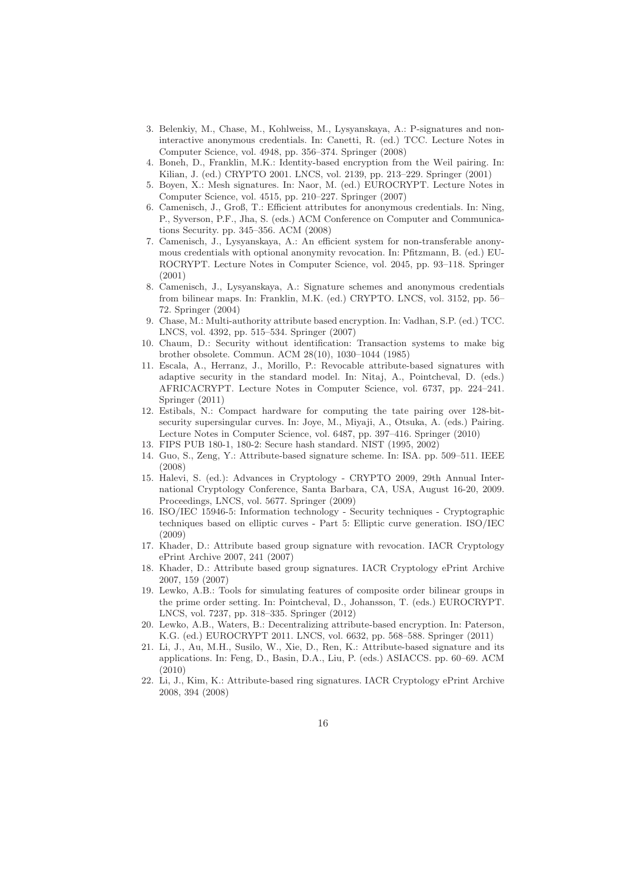- 3. Belenkiy, M., Chase, M., Kohlweiss, M., Lysyanskaya, A.: P-signatures and noninteractive anonymous credentials. In: Canetti, R. (ed.) TCC. Lecture Notes in Computer Science, vol. 4948, pp. 356–374. Springer (2008)
- 4. Boneh, D., Franklin, M.K.: Identity-based encryption from the Weil pairing. In: Kilian, J. (ed.) CRYPTO 2001. LNCS, vol. 2139, pp. 213–229. Springer (2001)
- 5. Boyen, X.: Mesh signatures. In: Naor, M. (ed.) EUROCRYPT. Lecture Notes in Computer Science, vol. 4515, pp. 210–227. Springer (2007)
- 6. Camenisch, J., Groß, T.: Efficient attributes for anonymous credentials. In: Ning, P., Syverson, P.F., Jha, S. (eds.) ACM Conference on Computer and Communications Security. pp. 345–356. ACM (2008)
- 7. Camenisch, J., Lysyanskaya, A.: An efficient system for non-transferable anonymous credentials with optional anonymity revocation. In: Pfitzmann, B. (ed.) EU-ROCRYPT. Lecture Notes in Computer Science, vol. 2045, pp. 93–118. Springer (2001)
- 8. Camenisch, J., Lysyanskaya, A.: Signature schemes and anonymous credentials from bilinear maps. In: Franklin, M.K. (ed.) CRYPTO. LNCS, vol. 3152, pp. 56– 72. Springer (2004)
- 9. Chase, M.: Multi-authority attribute based encryption. In: Vadhan, S.P. (ed.) TCC. LNCS, vol. 4392, pp. 515–534. Springer (2007)
- 10. Chaum, D.: Security without identification: Transaction systems to make big brother obsolete. Commun. ACM 28(10), 1030–1044 (1985)
- 11. Escala, A., Herranz, J., Morillo, P.: Revocable attribute-based signatures with adaptive security in the standard model. In: Nitaj, A., Pointcheval, D. (eds.) AFRICACRYPT. Lecture Notes in Computer Science, vol. 6737, pp. 224–241. Springer (2011)
- 12. Estibals, N.: Compact hardware for computing the tate pairing over 128-bitsecurity supersingular curves. In: Joye, M., Miyaji, A., Otsuka, A. (eds.) Pairing. Lecture Notes in Computer Science, vol. 6487, pp. 397–416. Springer (2010)
- 13. FIPS PUB 180-1, 180-2: Secure hash standard. NIST (1995, 2002)
- 14. Guo, S., Zeng, Y.: Attribute-based signature scheme. In: ISA. pp. 509–511. IEEE (2008)
- 15. Halevi, S. (ed.): Advances in Cryptology CRYPTO 2009, 29th Annual International Cryptology Conference, Santa Barbara, CA, USA, August 16-20, 2009. Proceedings, LNCS, vol. 5677. Springer (2009)
- 16. ISO/IEC 15946-5: Information technology Security techniques Cryptographic techniques based on elliptic curves - Part 5: Elliptic curve generation. ISO/IEC (2009)
- 17. Khader, D.: Attribute based group signature with revocation. IACR Cryptology ePrint Archive 2007, 241 (2007)
- 18. Khader, D.: Attribute based group signatures. IACR Cryptology ePrint Archive 2007, 159 (2007)
- 19. Lewko, A.B.: Tools for simulating features of composite order bilinear groups in the prime order setting. In: Pointcheval, D., Johansson, T. (eds.) EUROCRYPT. LNCS, vol. 7237, pp. 318–335. Springer (2012)
- 20. Lewko, A.B., Waters, B.: Decentralizing attribute-based encryption. In: Paterson, K.G. (ed.) EUROCRYPT 2011. LNCS, vol. 6632, pp. 568–588. Springer (2011)
- 21. Li, J., Au, M.H., Susilo, W., Xie, D., Ren, K.: Attribute-based signature and its applications. In: Feng, D., Basin, D.A., Liu, P. (eds.) ASIACCS. pp. 60–69. ACM (2010)
- 22. Li, J., Kim, K.: Attribute-based ring signatures. IACR Cryptology ePrint Archive 2008, 394 (2008)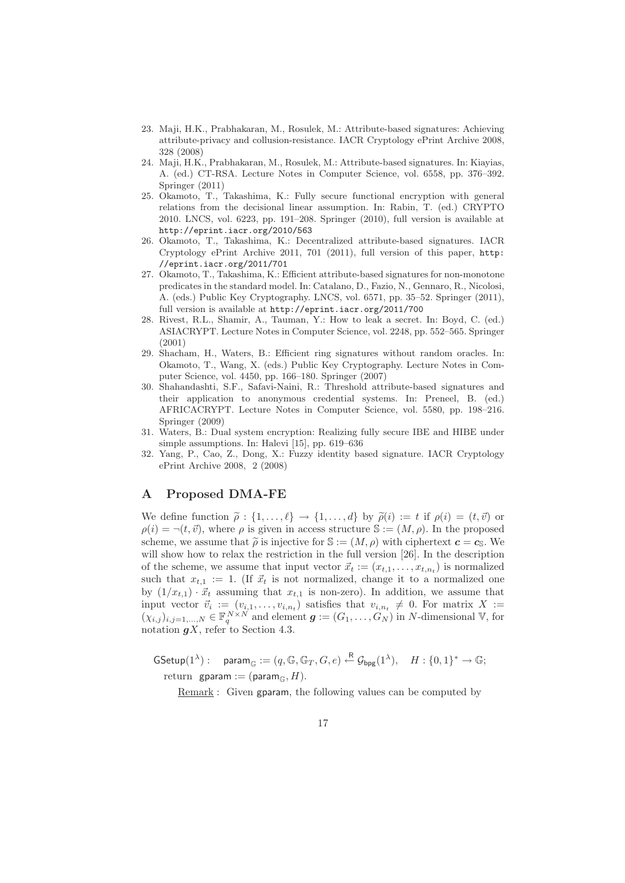- 23. Maji, H.K., Prabhakaran, M., Rosulek, M.: Attribute-based signatures: Achieving attribute-privacy and collusion-resistance. IACR Cryptology ePrint Archive 2008, 328 (2008)
- 24. Maji, H.K., Prabhakaran, M., Rosulek, M.: Attribute-based signatures. In: Kiayias, A. (ed.) CT-RSA. Lecture Notes in Computer Science, vol. 6558, pp. 376–392. Springer (2011)
- 25. Okamoto, T., Takashima, K.: Fully secure functional encryption with general relations from the decisional linear assumption. In: Rabin, T. (ed.) CRYPTO 2010. LNCS, vol. 6223, pp. 191–208. Springer (2010), full version is available at
- 26. Okamoto, T., Takashima, K.: Decentralized attribute-based signatures. IACR Cryptology ePrint Archive 2011, 701 (2011), full version of this paper, http:
- 27. Okamoto, T., Takashima, K.: Efficient attribute-based signatures for non-monotone predicates in the standard model. In: Catalano, D., Fazio, N., Gennaro, R., Nicolosi, A. (eds.) Public Key Cryptography. LNCS, vol. 6571, pp. 35–52. Springer (2011), full version is available at http://eprint.iacr.org/2011/700
- 28. Rivest, R.L., Shamir, A., Tauman, Y.: How to leak a secret. In: Boyd, C. (ed.) ASIACRYPT. Lecture Notes in Computer Science, vol. 2248, pp. 552–565. Springer (2001)
- 29. Shacham, H., Waters, B.: Efficient ring signatures without random oracles. In: Okamoto, T., Wang, X. (eds.) Public Key Cryptography. Lecture Notes in Computer Science, vol. 4450, pp. 166–180. Springer (2007)
- 30. Shahandashti, S.F., Safavi-Naini, R.: Threshold attribute-based signatures and their application to anonymous credential systems. In: Preneel, B. (ed.) AFRICACRYPT. Lecture Notes in Computer Science, vol. 5580, pp. 198–216. Springer (2009)
- 31. Waters, B.: Dual system encryption: Realizing fully secure IBE and HIBE under simple assumptions. In: Halevi [15], pp. 619–636
- 32. Yang, P., Cao, Z., Dong, X.: Fuzzy identity based signature. IACR Cryptology ePrint Archive 2008, 2 (2008)

## **A Proposed DMA-FE**

We define function  $\tilde{\rho}: \{1,\ldots,\ell\} \to \{1,\ldots,d\}$  by  $\tilde{\rho}(i) := t$  if  $\rho(i) = (t, \vec{v})$  or  $\rho(i) = \neg(t, \vec{v})$ , where  $\rho$  is given in access structure  $\mathbb{S} := (M, \rho)$ . In the proposed scheme, we assume that  $\tilde{\rho}$  is injective for  $\mathbb{S} := (M, \rho)$  with ciphertext  $\mathbf{c} = \mathbf{c}_{\mathbb{S}}$ . We will show how to relax the restriction in the full version [26]. In the description of the scheme, we assume that input vector  $\vec{x}_t := (x_{t,1}, \ldots, x_{t,n_t})$  is normalized such that  $x_{t,1} := 1$ . (If  $\vec{x}_t$  is not normalized, change it to a normalized one by  $(1/x_{t,1}) \cdot \vec{x}_t$  assuming that  $x_{t,1}$  is non-zero). In addition, we assume that input vector  $\vec{v}_i := (v_{i,1},\ldots,v_{i,n_t})$  satisfies that  $v_{i,n_t} \neq 0$ . For matrix  $X :=$  $(\chi_{i,j})_{i,j=1,\dots,N} \in \mathbb{F}_q^{N \times N}$  and element  $\boldsymbol{g} := (G_1,\dots,G_N)$  in N-dimensional V, for notation  $\boldsymbol{g} X$  refer to Section 4.3 notation  $qX$ , refer to Section 4.3.

 $\mathsf{GSetup}(1^\lambda): \quad \mathsf{param}_\mathbb{G} := (q, \mathbb{G}, \mathbb{G}_T, G, e) \stackrel{\mathsf{R}}{\leftarrow} \mathcal{G}_{\mathsf{bpg}}(1^\lambda), \quad H: \{0,1\}^* \to \mathbb{G};$ return gparam := (param $\epsilon, H$ ).

Remark : Given gparam, the following values can be computed by